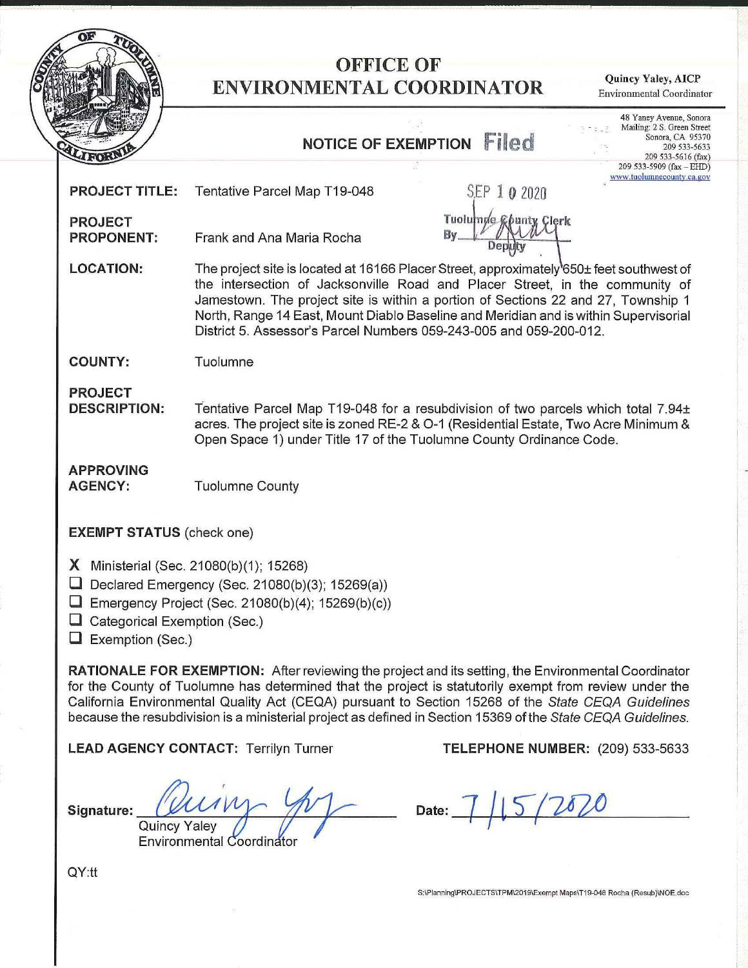

## **OFFICE OF ENVIRONMENTAL COORDINATOR Quincy Yaley, AICP**

Environmental Coordinator

## **NoT1cE oF EXEMPTION Filed**

S.EP **1 0** 2020

hunt

Clerk

By <u>Deputy</u>

**Tuolumae** 

48 Yaney Avenue, Sonora Mailing: 2 S. Green Street Sonora, CA 95370 209 533-5633 209 533-5616 (fax) 209 533-5909 (fax - EIID) **W\Vw.tuolumnecounty ca.gov** 

| <b>PROJECT TITLE:</b> | Tentative Parcel Map T19-048 |
|-----------------------|------------------------------|
|-----------------------|------------------------------|

**PROJECT PROPONENT:** Frank and Ana Maria Rocha

LOCATION: The project site is located at 16166 Placer Street, approximately<sup>1</sup>650± feet southwest of the intersection of Jacksonville Road and Placer Street, in the community of Jamestown. The project site is within a portion of Sections 22 and 27, Township 1 North, Range 14 East, Mount Diablo Baseline and Meridian and is within Supervisorial District 5. Assessor's Parcel Numbers 059-243-005 and 059-200-012.

**COUNTY:** Tuolumne

**PROJECT** 

**DESCRIPTION:** Tentative Parcel Map T19-048 for a resubdivision of two parcels which total 7.94± acres. The project site is zoned RE-2 & 0-1 (Residential Estate, Two Acre Minimum & Open Space 1) under Title 17 of the Tuolumne County Ordinance Code.

**APPROVING** 

**AGENCY:** Tuolumne County

**EXEMPT STATUS** (check one)

**X** Ministerial (Sec. 21080(b)(1); 15268)

**D** Declared Emergency (Sec. 21080(b)(3); 15269(a))

- **D** Emergency Project (Sec. 21080(b)(4); 15269(b)(c))
- □ Categorical Exemption (Sec.)

**D** Exemption (Sec.)

**RATIONALE FOR EXEMPTION:** After reviewing the project and its setting, the Environmental Coordinator for the County of Tuolumne has determined that the project is statutorily exempt from review under the California Environmental Quality Act (CEQA) pursuant to Section 15268 of the State CEQA Guidelines because the resubdivision is a ministerial project as defined in Section 15369 of the State CEQA Guidelines.

**LEAD AGENCY CONTACT:** Terrilyn Turner **TELEPHONE NUMBER:** (209) 533-5633

**Signature:** *QUA* <u>Luing</u>  $\frac{1}{\sqrt{2}}$ 

Quiricy Taley<br>Environmental Coordinator

Date: 7 **1** 5 7 2 8 2 0

S:\Planning\PROJECTS\TPM\2019\Exempt Maps\T19-048 Rocha (Resub)\NOE.doc

QY:tt